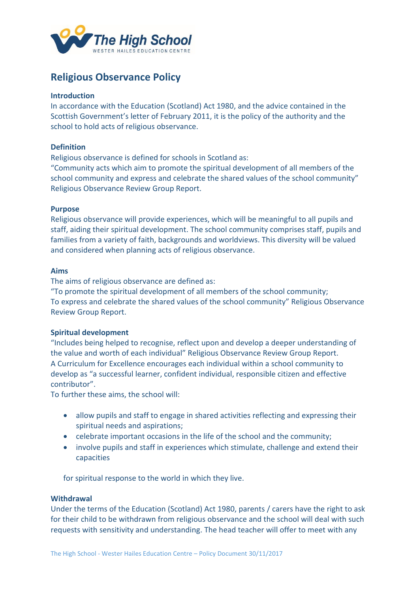

# **Religious Observance Policy**

## **Introduction**

In accordance with the Education (Scotland) Act 1980, and the advice contained in the Scottish Government's letter of February 2011, it is the policy of the authority and the school to hold acts of religious observance.

## **Definition**

Religious observance is defined for schools in Scotland as:

"Community acts which aim to promote the spiritual development of all members of the school community and express and celebrate the shared values of the school community" Religious Observance Review Group Report.

## **Purpose**

Religious observance will provide experiences, which will be meaningful to all pupils and staff, aiding their spiritual development. The school community comprises staff, pupils and families from a variety of faith, backgrounds and worldviews. This diversity will be valued and considered when planning acts of religious observance.

## **Aims**

The aims of religious observance are defined as:

"To promote the spiritual development of all members of the school community; To express and celebrate the shared values of the school community" Religious Observance Review Group Report.

# **Spiritual development**

"Includes being helped to recognise, reflect upon and develop a deeper understanding of the value and worth of each individual" Religious Observance Review Group Report. A Curriculum for Excellence encourages each individual within a school community to develop as "a successful learner, confident individual, responsible citizen and effective contributor".

To further these aims, the school will:

- allow pupils and staff to engage in shared activities reflecting and expressing their spiritual needs and aspirations;
- celebrate important occasions in the life of the school and the community;
- involve pupils and staff in experiences which stimulate, challenge and extend their capacities

for spiritual response to the world in which they live.

#### **Withdrawal**

Under the terms of the Education (Scotland) Act 1980, parents / carers have the right to ask for their child to be withdrawn from religious observance and the school will deal with such requests with sensitivity and understanding. The head teacher will offer to meet with any